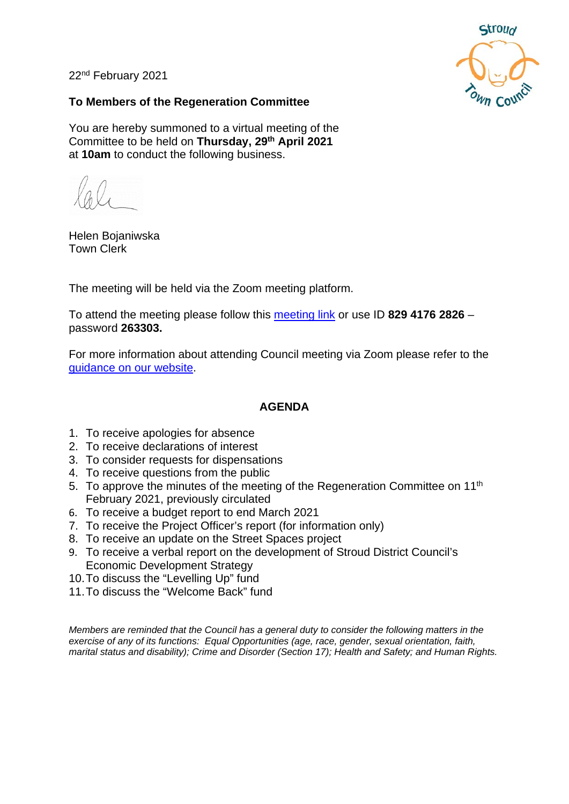22nd February 2021



#### **To Members of the Regeneration Committee**

You are hereby summoned to a virtual meeting of the Committee to be held on **Thursday, 29th April 2021** at **10am** to conduct the following business.

Helen Bojaniwska Town Clerk

The meeting will be held via the Zoom meeting platform.

To attend the meeting please follow this [meeting link](https://us02web.zoom.us/j/82941762826?pwd=dE9Fams0eFVWRlF0R2hkLzFUUHc5QT09) or use ID **829 4176 2826** – password **263303.**

For more information about attending Council meeting via Zoom please refer to the [guidance on our website.](https://www.stroudtown.gov.uk/uploads/taking-part-in-an-stc-zoom-meeting-april-2020.pdf)

#### **AGENDA**

- 1. To receive apologies for absence
- 2. To receive declarations of interest
- 3. To consider requests for dispensations
- 4. To receive questions from the public
- 5. To approve the minutes of the meeting of the Regeneration Committee on 11<sup>th</sup> February 2021, previously circulated
- 6. To receive a budget report to end March 2021
- 7. To receive the Project Officer's report (for information only)
- 8. To receive an update on the Street Spaces project
- 9. To receive a verbal report on the development of Stroud District Council's Economic Development Strategy
- 10.To discuss the "Levelling Up" fund
- 11.To discuss the "Welcome Back" fund

*Members are reminded that the Council has a general duty to consider the following matters in the exercise of any of its functions: Equal Opportunities (age, race, gender, sexual orientation, faith, marital status and disability); Crime and Disorder (Section 17); Health and Safety; and Human Rights.*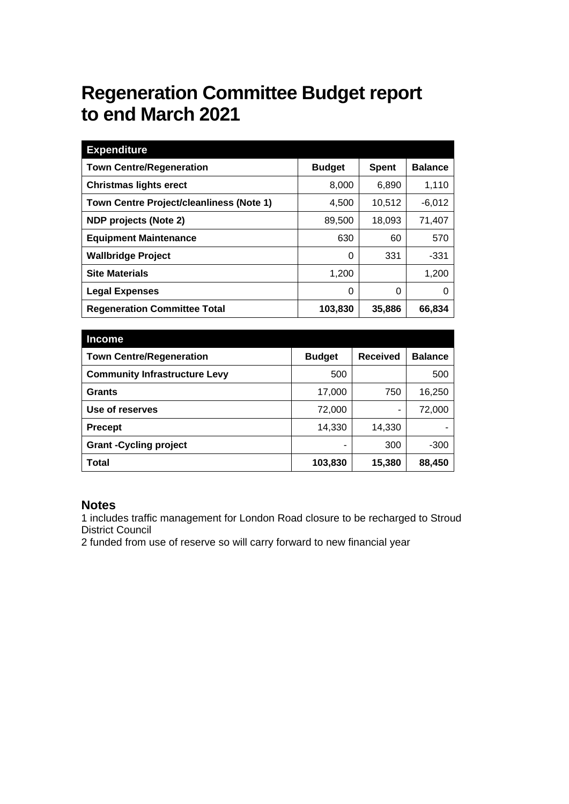# **Regeneration Committee Budget report to end March 2021**

| <b>Expenditure</b>                       |               |              |                |
|------------------------------------------|---------------|--------------|----------------|
| <b>Town Centre/Regeneration</b>          | <b>Budget</b> | <b>Spent</b> | <b>Balance</b> |
| <b>Christmas lights erect</b>            | 8,000         | 6,890        | 1,110          |
| Town Centre Project/cleanliness (Note 1) | 4,500         | 10.512       | $-6,012$       |
| NDP projects (Note 2)                    | 89,500        | 18,093       | 71,407         |
| <b>Equipment Maintenance</b>             | 630           | 60           | 570            |
| <b>Wallbridge Project</b>                | 0             | 331          | -331           |
| <b>Site Materials</b>                    | 1,200         |              | 1,200          |
| <b>Legal Expenses</b>                    | 0             | 0            | O              |
| <b>Regeneration Committee Total</b>      | 103,830       | 35,886       | 66,834         |

| <b>Income</b>                        |               |                 |                |
|--------------------------------------|---------------|-----------------|----------------|
| <b>Town Centre/Regeneration</b>      | <b>Budget</b> | <b>Received</b> | <b>Balance</b> |
| <b>Community Infrastructure Levy</b> | 500           |                 | 500            |
| <b>Grants</b>                        | 17,000        | 750             | 16,250         |
| Use of reserves                      | 72,000        | ۰               | 72,000         |
| <b>Precept</b>                       | 14,330        | 14,330          |                |
| <b>Grant-Cycling project</b>         |               | 300             | $-300$         |
| Total                                | 103,830       | 15,380          | 88,450         |

#### **Notes**

1 includes traffic management for London Road closure to be recharged to Stroud District Council

2 funded from use of reserve so will carry forward to new financial year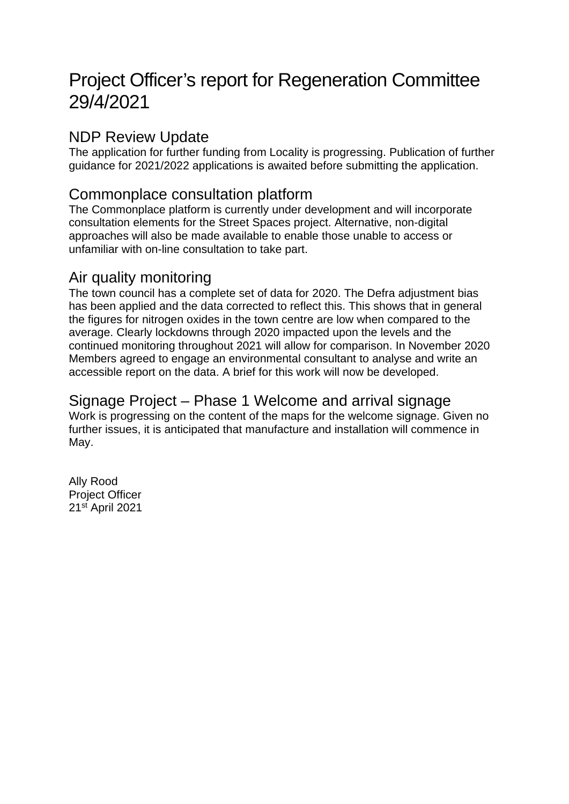# Project Officer's report for Regeneration Committee 29/4/2021

## NDP Review Update

The application for further funding from Locality is progressing. Publication of further guidance for 2021/2022 applications is awaited before submitting the application.

## Commonplace consultation platform

The Commonplace platform is currently under development and will incorporate consultation elements for the Street Spaces project. Alternative, non-digital approaches will also be made available to enable those unable to access or unfamiliar with on-line consultation to take part.

### Air quality monitoring

The town council has a complete set of data for 2020. The Defra adjustment bias has been applied and the data corrected to reflect this. This shows that in general the figures for nitrogen oxides in the town centre are low when compared to the average. Clearly lockdowns through 2020 impacted upon the levels and the continued monitoring throughout 2021 will allow for comparison. In November 2020 Members agreed to engage an environmental consultant to analyse and write an accessible report on the data. A brief for this work will now be developed.

### Signage Project – Phase 1 Welcome and arrival signage

Work is progressing on the content of the maps for the welcome signage. Given no further issues, it is anticipated that manufacture and installation will commence in May.

Ally Rood Project Officer 21st April 2021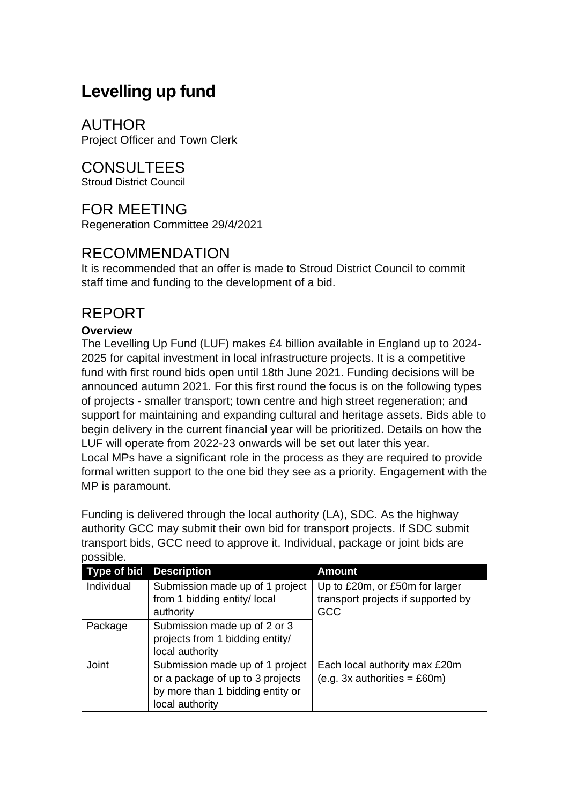## **Levelling up fund**

AUTHOR Project Officer and Town Clerk

CONSULTEES Stroud District Council

## FOR MEETING

Regeneration Committee 29/4/2021

## RECOMMENDATION

It is recommended that an offer is made to Stroud District Council to commit staff time and funding to the development of a bid.

## REPORT

#### **Overview**

The Levelling Up Fund (LUF) makes £4 billion available in England up to 2024- 2025 for capital investment in local infrastructure projects. It is a competitive fund with first round bids open until 18th June 2021. Funding decisions will be announced autumn 2021. For this first round the focus is on the following types of projects - smaller transport; town centre and high street regeneration; and support for maintaining and expanding cultural and heritage assets. Bids able to begin delivery in the current financial year will be prioritized. Details on how the LUF will operate from 2022-23 onwards will be set out later this year. Local MPs have a significant role in the process as they are required to provide formal written support to the one bid they see as a priority. Engagement with the MP is paramount.

Funding is delivered through the local authority (LA), SDC. As the highway authority GCC may submit their own bid for transport projects. If SDC submit transport bids, GCC need to approve it. Individual, package or joint bids are possible.

| Type of bid | <b>Description</b>               | <b>Amount</b>                      |
|-------------|----------------------------------|------------------------------------|
| Individual  | Submission made up of 1 project  | Up to £20m, or £50m for larger     |
|             | from 1 bidding entity/ local     | transport projects if supported by |
|             | authority                        | GCC                                |
| Package     | Submission made up of 2 or 3     |                                    |
|             | projects from 1 bidding entity/  |                                    |
|             | local authority                  |                                    |
| Joint       | Submission made up of 1 project  | Each local authority max £20m      |
|             | or a package of up to 3 projects | $(e.g. 3x$ authorities = £60m)     |
|             | by more than 1 bidding entity or |                                    |
|             | local authority                  |                                    |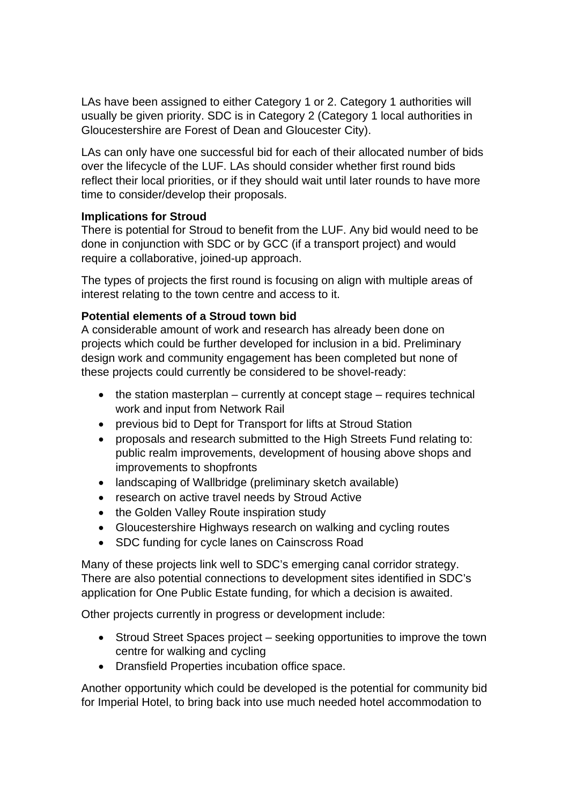LAs have been assigned to either Category 1 or 2. Category 1 authorities will usually be given priority. SDC is in Category 2 (Category 1 local authorities in Gloucestershire are Forest of Dean and Gloucester City).

LAs can only have one successful bid for each of their allocated number of bids over the lifecycle of the LUF. LAs should consider whether first round bids reflect their local priorities, or if they should wait until later rounds to have more time to consider/develop their proposals.

#### **Implications for Stroud**

There is potential for Stroud to benefit from the LUF. Any bid would need to be done in conjunction with SDC or by GCC (if a transport project) and would require a collaborative, joined-up approach.

The types of projects the first round is focusing on align with multiple areas of interest relating to the town centre and access to it.

#### **Potential elements of a Stroud town bid**

A considerable amount of work and research has already been done on projects which could be further developed for inclusion in a bid. Preliminary design work and community engagement has been completed but none of these projects could currently be considered to be shovel-ready:

- $\bullet$  the station masterplan currently at concept stage requires technical work and input from Network Rail
- previous bid to Dept for Transport for lifts at Stroud Station
- proposals and research submitted to the High Streets Fund relating to: public realm improvements, development of housing above shops and improvements to shopfronts
- landscaping of Wallbridge (preliminary sketch available)
- research on active travel needs by Stroud Active
- the Golden Valley Route inspiration study
- Gloucestershire Highways research on walking and cycling routes
- SDC funding for cycle lanes on Cainscross Road

Many of these projects link well to SDC's emerging canal corridor strategy. There are also potential connections to development sites identified in SDC's application for One Public Estate funding, for which a decision is awaited.

Other projects currently in progress or development include:

- Stroud Street Spaces project seeking opportunities to improve the town centre for walking and cycling
- Dransfield Properties incubation office space.

Another opportunity which could be developed is the potential for community bid for Imperial Hotel, to bring back into use much needed hotel accommodation to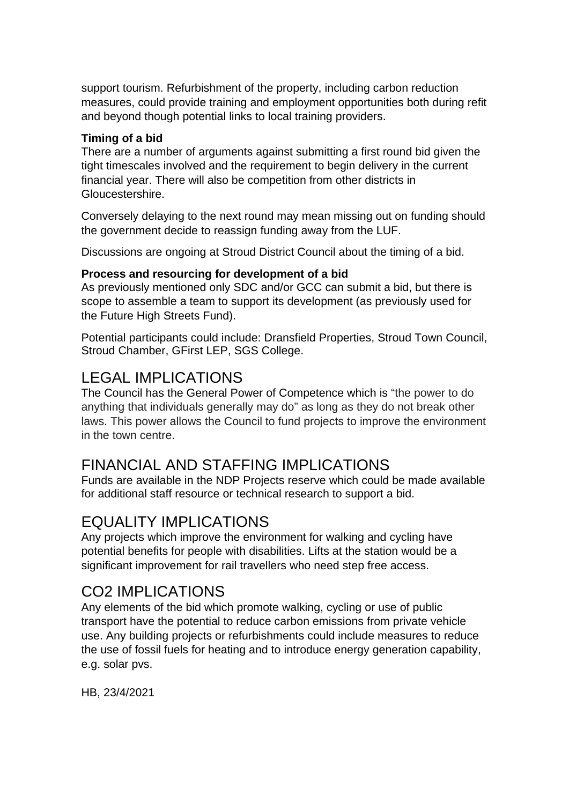support tourism. Refurbishment of the property, including carbon reduction measures, could provide training and employment opportunities both during refit and beyond though potential links to local training providers.

#### **Timing of a bid**

There are a number of arguments against submitting a first round bid given the tight timescales involved and the requirement to begin delivery in the current financial year. There will also be competition from other districts in Gloucestershire.

Conversely delaying to the next round may mean missing out on funding should the government decide to reassign funding away from the LUF.

Discussions are ongoing at Stroud District Council about the timing of a bid.

#### **Process and resourcing for development of a bid**

As previously mentioned only SDC and/or GCC can submit a bid, but there is scope to assemble a team to support its development (as previously used for the Future High Streets Fund).

Potential participants could include: Dransfield Properties, Stroud Town Council, Stroud Chamber, GFirst LEP, SGS College.

## LEGAL IMPLICATIONS

The Council has the General Power of Competence which is "the power to do anything that individuals generally may do" as long as they do not break other laws. This power allows the Council to fund projects to improve the environment in the town centre.

## FINANCIAL AND STAFFING IMPLICATIONS

Funds are available in the NDP Projects reserve which could be made available for additional staff resource or technical research to support a bid.

## EQUALITY IMPLICATIONS

Any projects which improve the environment for walking and cycling have potential benefits for people with disabilities. Lifts at the station would be a significant improvement for rail travellers who need step free access.

## CO2 IMPLICATIONS

Any elements of the bid which promote walking, cycling or use of public transport have the potential to reduce carbon emissions from private vehicle use. Any building projects or refurbishments could include measures to reduce the use of fossil fuels for heating and to introduce energy generation capability, e.g. solar pvs.

HB, 23/4/2021